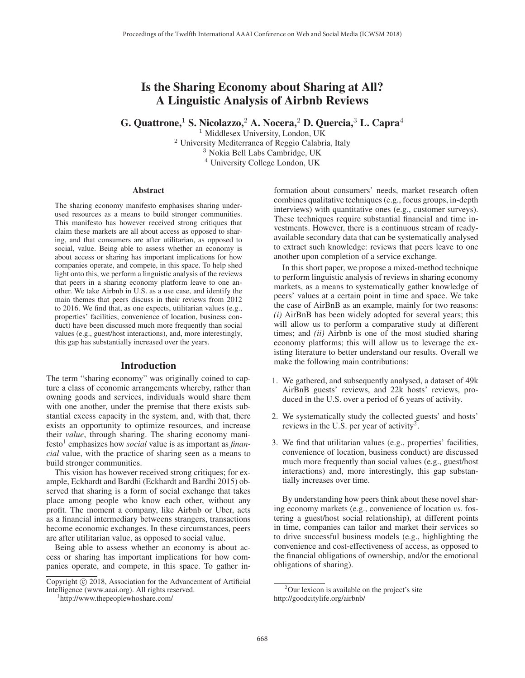# Is the Sharing Economy about Sharing at All? A Linguistic Analysis of Airbnb Reviews

G. Quattrone,<sup>1</sup> S. Nicolazzo,<sup>2</sup> A. Nocera,<sup>2</sup> D. Quercia,<sup>3</sup> L. Capra<sup>4</sup>

<sup>1</sup> Middlesex University, London, UK University Mediterranea of Reggio Calabria, Italy Nokia Bell Labs Cambridge, UK University College London, UK

#### **Abstract**

The sharing economy manifesto emphasises sharing underused resources as a means to build stronger communities. This manifesto has however received strong critiques that claim these markets are all about access as opposed to sharing, and that consumers are after utilitarian, as opposed to social, value. Being able to assess whether an economy is about access or sharing has important implications for how companies operate, and compete, in this space. To help shed light onto this, we perform a linguistic analysis of the reviews that peers in a sharing economy platform leave to one another. We take Airbnb in U.S. as a use case, and identify the main themes that peers discuss in their reviews from 2012 to 2016. We find that, as one expects, utilitarian values (e.g., properties' facilities, convenience of location, business conduct) have been discussed much more frequently than social values (e.g., guest/host interactions), and, more interestingly, this gap has substantially increased over the years.

## Introduction

The term "sharing economy" was originally coined to capture a class of economic arrangements whereby, rather than owning goods and services, individuals would share them with one another, under the premise that there exists substantial excess capacity in the system, and, with that, there exists an opportunity to optimize resources, and increase their *value*, through sharing. The sharing economy manifesto<sup>1</sup> emphasizes how *social* value is as important as *financial* value, with the practice of sharing seen as a means to build stronger communities.

This vision has however received strong critiques; for example, Eckhardt and Bardhi (Eckhardt and Bardhi 2015) observed that sharing is a form of social exchange that takes place among people who know each other, without any profit. The moment a company, like Airbnb or Uber, acts as a financial intermediary betweens strangers, transactions become economic exchanges. In these circumstances, peers are after utilitarian value, as opposed to social value.

Being able to assess whether an economy is about access or sharing has important implications for how companies operate, and compete, in this space. To gather in-

formation about consumers' needs, market research often combines qualitative techniques (e.g., focus groups, in-depth interviews) with quantitative ones (e.g., customer surveys). These techniques require substantial financial and time investments. However, there is a continuous stream of readyavailable secondary data that can be systematically analysed to extract such knowledge: reviews that peers leave to one another upon completion of a service exchange.

In this short paper, we propose a mixed-method technique to perform linguistic analysis of reviews in sharing economy markets, as a means to systematically gather knowledge of peers' values at a certain point in time and space. We take the case of AirBnB as an example, mainly for two reasons: *(i)* AirBnB has been widely adopted for several years; this will allow us to perform a comparative study at different times; and *(ii)* Airbnb is one of the most studied sharing economy platforms; this will allow us to leverage the existing literature to better understand our results. Overall we make the following main contributions:

- 1. We gathered, and subsequently analysed, a dataset of 49k AirBnB guests' reviews, and 22k hosts' reviews, produced in the U.S. over a period of 6 years of activity.
- 2. We systematically study the collected guests' and hosts' reviews in the U.S. per year of activity2.
- 3. We find that utilitarian values (e.g., properties' facilities, convenience of location, business conduct) are discussed much more frequently than social values (e.g., guest/host interactions) and, more interestingly, this gap substantially increases over time.

By understanding how peers think about these novel sharing economy markets (e.g., convenience of location *vs.* fostering a guest/host social relationship), at different points in time, companies can tailor and market their services so to drive successful business models (e.g., highlighting the convenience and cost-effectiveness of access, as opposed to the financial obligations of ownership, and/or the emotional obligations of sharing).

Copyright  $\odot$  2018, Association for the Advancement of Artificial Intelligence (www.aaai.org). All rights reserved.

http://www.thepeoplewhoshare.com/

<sup>&</sup>lt;sup>2</sup>Our lexicon is available on the project's site http://goodcitylife.org/airbnb/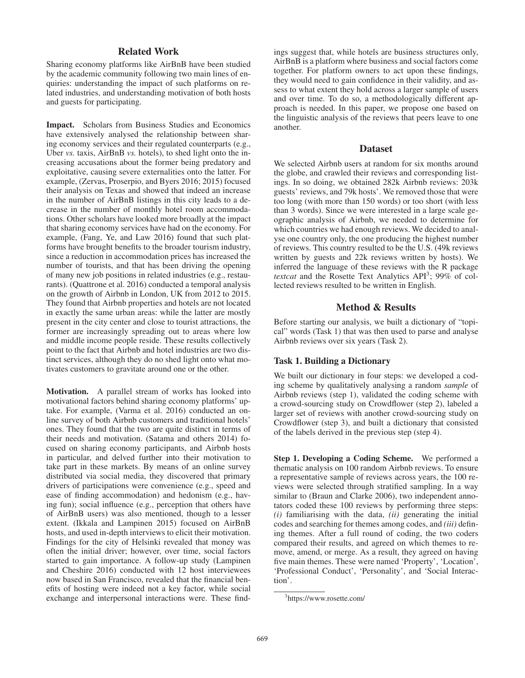# Related Work

Sharing economy platforms like AirBnB have been studied by the academic community following two main lines of enquiries: understanding the impact of such platforms on related industries, and understanding motivation of both hosts and guests for participating.

Impact. Scholars from Business Studies and Economics have extensively analysed the relationship between sharing economy services and their regulated counterparts (e.g., Uber *vs.* taxis, AirBnB *vs.* hotels), to shed light onto the increasing accusations about the former being predatory and exploitative, causing severe externalities onto the latter. For example, (Zervas, Proserpio, and Byers 2016; 2015) focused their analysis on Texas and showed that indeed an increase in the number of AirBnB listings in this city leads to a decrease in the number of monthly hotel room accommodations. Other scholars have looked more broadly at the impact that sharing economy services have had on the economy. For example, (Fang, Ye, and Law 2016) found that such platforms have brought benefits to the broader tourism industry, since a reduction in accommodation prices has increased the number of tourists, and that has been driving the opening of many new job positions in related industries (e.g., restaurants). (Quattrone et al. 2016) conducted a temporal analysis on the growth of Airbnb in London, UK from 2012 to 2015. They found that Airbnb properties and hotels are not located in exactly the same urban areas: while the latter are mostly present in the city center and close to tourist attractions, the former are increasingly spreading out to areas where low and middle income people reside. These results collectively point to the fact that Airbnb and hotel industries are two distinct services, although they do no shed light onto what motivates customers to gravitate around one or the other.

Motivation. A parallel stream of works has looked into motivational factors behind sharing economy platforms' uptake. For example, (Varma et al. 2016) conducted an online survey of both Airbnb customers and traditional hotels' ones. They found that the two are quite distinct in terms of their needs and motivation. (Satama and others 2014) focused on sharing economy participants, and Airbnb hosts in particular, and delved further into their motivation to take part in these markets. By means of an online survey distributed via social media, they discovered that primary drivers of participations were convenience (e.g., speed and ease of finding accommodation) and hedonism (e.g., having fun); social influence (e.g., perception that others have of AirBnB users) was also mentioned, though to a lesser extent. (Ikkala and Lampinen 2015) focused on AirBnB hosts, and used in-depth interviews to elicit their motivation. Findings for the city of Helsinki revealed that money was often the initial driver; however, over time, social factors started to gain importance. A follow-up study (Lampinen and Cheshire 2016) conducted with 12 host interviewees now based in San Francisco, revealed that the financial benefits of hosting were indeed not a key factor, while social exchange and interpersonal interactions were. These find-

ings suggest that, while hotels are business structures only, AirBnB is a platform where business and social factors come together. For platform owners to act upon these findings, they would need to gain confidence in their validity, and assess to what extent they hold across a larger sample of users and over time. To do so, a methodologically different approach is needed. In this paper, we propose one based on the linguistic analysis of the reviews that peers leave to one another.

#### Dataset

We selected Airbnb users at random for six months around the globe, and crawled their reviews and corresponding listings. In so doing, we obtained 282k Airbnb reviews: 203k guests' reviews, and 79k hosts'. We removed those that were too long (with more than 150 words) or too short (with less than 3 words). Since we were interested in a large scale geographic analysis of Airbnb, we needed to determine for which countries we had enough reviews. We decided to analyse one country only, the one producing the highest number of reviews. This country resulted to be the U.S. (49k reviews written by guests and 22k reviews written by hosts). We inferred the language of these reviews with the R package *textcat* and the Rosette Text Analytics API<sup>3</sup>; 99% of collected reviews resulted to be written in English.

# Method & Results

Before starting our analysis, we built a dictionary of "topical" words (Task 1) that was then used to parse and analyse Airbnb reviews over six years (Task 2).

#### Task 1. Building a Dictionary

We built our dictionary in four steps: we developed a coding scheme by qualitatively analysing a random *sample* of Airbnb reviews (step 1), validated the coding scheme with a crowd-sourcing study on Crowdflower (step 2), labeled a larger set of reviews with another crowd-sourcing study on Crowdflower (step 3), and built a dictionary that consisted of the labels derived in the previous step (step 4).

Step 1. Developing a Coding Scheme. We performed a thematic analysis on 100 random Airbnb reviews. To ensure a representative sample of reviews across years, the 100 reviews were selected through stratified sampling. In a way similar to (Braun and Clarke 2006), two independent annotators coded these 100 reviews by performing three steps: *(i)* familiarising with the data, *(ii)* generating the initial codes and searching for themes among codes, and *(iii)* defining themes. After a full round of coding, the two coders compared their results, and agreed on which themes to remove, amend, or merge. As a result, they agreed on having five main themes. These were named 'Property', 'Location', 'Professional Conduct', 'Personality', and 'Social Interaction'.

<sup>3</sup> https://www.rosette.com/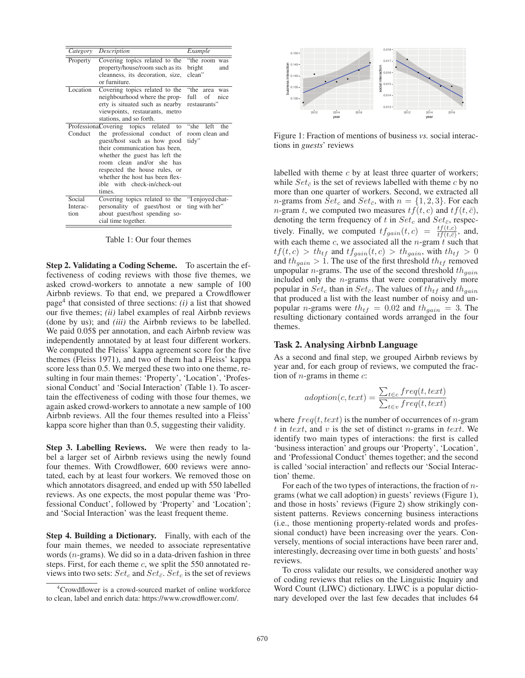| Category                   | Description                                                                                                                                                                                                                                                                | Example                                                   |
|----------------------------|----------------------------------------------------------------------------------------------------------------------------------------------------------------------------------------------------------------------------------------------------------------------------|-----------------------------------------------------------|
| Property                   | Covering topics related to the<br>property/house/room such as its<br>cleanness, its decoration, size,<br>or furniture.                                                                                                                                                     | "the room was<br>bright<br>and<br>clean"                  |
| Location                   | Covering topics related to the<br>neighbourhood where the prop-<br>erty is situated such as nearby<br>viewpoints, restaurants, metro<br>stations, and so forth.                                                                                                            | "the<br>area<br>was<br>full<br>of<br>nice<br>restaurants" |
|                            | ProfessionaCovering topics related<br>to                                                                                                                                                                                                                                   | "she<br>left<br>the                                       |
| Conduct                    | the professional conduct<br>of<br>guest/host such as how good<br>their communication has been.<br>whether the guest has left the<br>room clean and/or she has<br>respected the house rules, or<br>whether the host has been flex-<br>ible with check-in/check-out<br>times | room clean and<br>tidy"                                   |
| Social<br>Interac-<br>tion | Covering topics related to the<br>personality of guest/host or<br>about guest/host spending so-<br>cial time together.                                                                                                                                                     | "I enjoyed chat-<br>ting with her"                        |

Table 1: Our four themes

Step 2. Validating a Coding Scheme. To ascertain the effectiveness of coding reviews with those five themes, we asked crowd-workers to annotate a new sample of 100 Airbnb reviews. To that end, we prepared a Crowdflower page<sup>4</sup> that consisted of three sections:  $(i)$  a list that showed our five themes; *(ii)* label examples of real Airbnb reviews (done by us); and *(iii)* the Airbnb reviews to be labelled. We paid  $0.05\$  per annotation, and each Airbnb review was independently annotated by at least four different workers. We computed the Fleiss' kappa agreement score for the five themes (Fleiss 1971), and two of them had a Fleiss' kappa score less than 0.5. We merged these two into one theme, resulting in four main themes: 'Property', 'Location', 'Professional Conduct' and 'Social Interaction' (Table 1). To ascertain the effectiveness of coding with those four themes, we again asked crowd-workers to annotate a new sample of 100 Airbnb reviews. All the four themes resulted into a Fleiss' kappa score higher than than 0.5, suggesting their validity.

Step 3. Labelling Reviews. We were then ready to label a larger set of Airbnb reviews using the newly found four themes. With Crowdflower, 600 reviews were annotated, each by at least four workers. We removed those on which annotators disagreed, and ended up with 550 labelled reviews. As one expects, the most popular theme was 'Professional Conduct', followed by 'Property' and 'Location'; and 'Social Interaction' was the least frequent theme.

Step 4. Building a Dictionary. Finally, with each of the four main themes, we needed to associate representative words (n-grams). We did so in a data-driven fashion in three steps. First, for each theme  $c$ , we split the 550 annotated reviews into two sets:  $Set_c$  and  $Set_{\bar{c}}$ .  $Set_c$  is the set of reviews



Figure 1: Fraction of mentions of business *vs.* social interactions in *guests*' reviews

labelled with theme  $c$  by at least three quarter of workers; while  $Set_{\overline{c}}$  is the set of reviews labelled with theme c by no more than one quarter of workers. Second, we extracted all *n*-grams from  $Set_c$  and  $Set_{\overline{c}}$ , with  $n = \{1, 2, 3\}$ . For each *n*-gram t, we computed two measures  $tf(t, c)$  and  $tf(t, \bar{c})$ , denoting the term frequency of t in  $Set_c$  and  $Set_{\bar{c}}$ , respectively. Finally, we computed  $tf_{gain}(t,c) = \frac{tf(t,c)}{tf(t,c)}$ , and, with each theme  $c$ , we associated all the  $n$ -gram  $t$  such that  $tf(t, c) > th_{tf}$  and  $tf_{gain}(t, c) > th_{gain}$ , with  $th_{tf} > 0$ and  $th_{gain} > 1$ . The use of the first threshold  $th_{tf}$  removed unpopular *n*-grams. The use of the second threshold  $th_{gain}$ included only the n-grams that were comparatively more popular in  $Set_c$  than in  $Set_{\bar{c}}$ . The values of  $th_{tf}$  and  $th_{gain}$ that produced a list with the least number of noisy and unpopular *n*-grams were  $th_{tf} = 0.02$  and  $th_{gain} = 3$ . The resulting dictionary contained words arranged in the four themes.

## Task 2. Analysing Airbnb Language

As a second and final step, we grouped Airbnb reviews by year and, for each group of reviews, we computed the fraction of  $n$ -grams in theme  $c$ :

$$
adoption(c, text) = \frac{\sum_{t \in c} freq(t, text)}{\sum_{t \in v} freq(t, text)}
$$

where  $freq(t, text)$  is the number of occurrences of *n*-gram t in text, and v is the set of distinct n-grams in text. We identify two main types of interactions: the first is called 'business interaction' and groups our 'Property', 'Location', and 'Professional Conduct' themes together; and the second is called 'social interaction' and reflects our 'Social Interaction' theme.

For each of the two types of interactions, the fraction of  $n$ grams (what we call adoption) in guests' reviews (Figure 1), and those in hosts' reviews (Figure 2) show strikingly consistent patterns. Reviews concerning business interactions (i.e., those mentioning property-related words and professional conduct) have been increasing over the years. Conversely, mentions of social interactions have been rarer and, interestingly, decreasing over time in both guests' and hosts' reviews.

To cross validate our results, we considered another way of coding reviews that relies on the Linguistic Inquiry and Word Count (LIWC) dictionary. LIWC is a popular dictionary developed over the last few decades that includes 64

<sup>4</sup> Crowdflower is a crowd-sourced market of online workforce to clean, label and enrich data: https://www.crowdflower.com/.